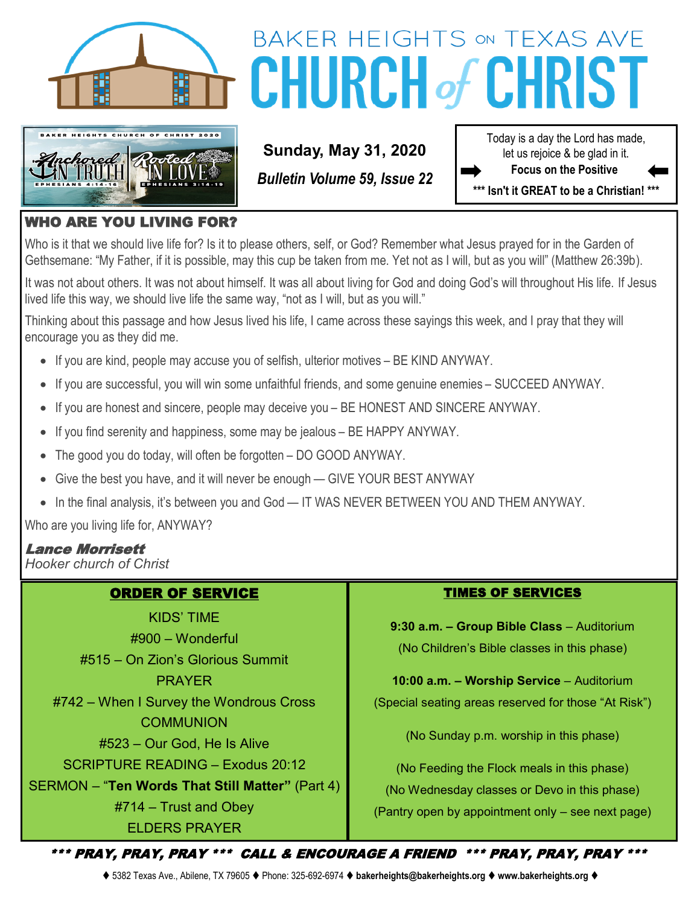



# BAKER HEIGHTS ON TEXAS AVE **CHURCH of CHRI**

**Sunday, May 31, 2020**

*Bulletin Volume 59, Issue 22*

Today is a day the Lord has made, let us rejoice & be glad in it. **Focus on the Positive** 

**\*\*\* Isn't it GREAT to be a Christian! \*\*\***

## WHO ARE YOU LIVING FOR?

Who is it that we should live life for? Is it to please others, self, or God? Remember what Jesus prayed for in the Garden of Gethsemane: "My Father, if it is possible, may this cup be taken from me. Yet not as I will, but as you will" (Matthew 26:39b).

It was not about others. It was not about himself. It was all about living for God and doing God's will throughout His life. If Jesus lived life this way, we should live life the same way, "not as I will, but as you will."

Thinking about this passage and how Jesus lived his life, I came across these sayings this week, and I pray that they will encourage you as they did me.

- If you are kind, people may accuse you of selfish, ulterior motives BE KIND ANYWAY.
- If you are successful, you will win some unfaithful friends, and some genuine enemies SUCCEED ANYWAY.
- If you are honest and sincere, people may deceive you BE HONEST AND SINCERE ANYWAY.
- If you find serenity and happiness, some may be jealous BE HAPPY ANYWAY.
- The good you do today, will often be forgotten DO GOOD ANYWAY.
- Give the best you have, and it will never be enough GIVE YOUR BEST ANYWAY
- In the final analysis, it's between you and God IT WAS NEVER BETWEEN YOU AND THEM ANYWAY.

Who are you living life for, ANYWAY?

## Lance Morrisett

*Hooker church of Christ*

## ORDER OF SERVICE

KIDS' TIME #900 – Wonderful #515 – On Zion's Glorious Summit PRAYER #742 – When I Survey the Wondrous Cross **COMMUNION** #523 – Our God, He Is Alive SCRIPTURE READING – Exodus 20:12 SERMON – "**Ten Words That Still Matter"** (Part 4) #714 – Trust and Obey ELDERS PRAYER

#### TIMES OF SERVICES

**9:30 a.m. – Group Bible Class** – Auditorium (No Children's Bible classes in this phase)

**10:00 a.m. – Worship Service** – Auditorium (Special seating areas reserved for those "At Risk")

(No Sunday p.m. worship in this phase)

(No Feeding the Flock meals in this phase) (No Wednesday classes or Devo in this phase) (Pantry open by appointment only – see next page)

\*\*\* PRAY, PRAY, PRAY \*\*\* CALL & ENCOURAGE A FRIEND \*\*\* PRAY, PRAY, PRAY \*\*\*

⧫ 5382 Texas Ave., Abilene, TX 79605 ⧫ Phone: 325-692-6974 ⧫ **bakerheights@bakerheights.org** ⧫ **www.bakerheights.org** ⧫